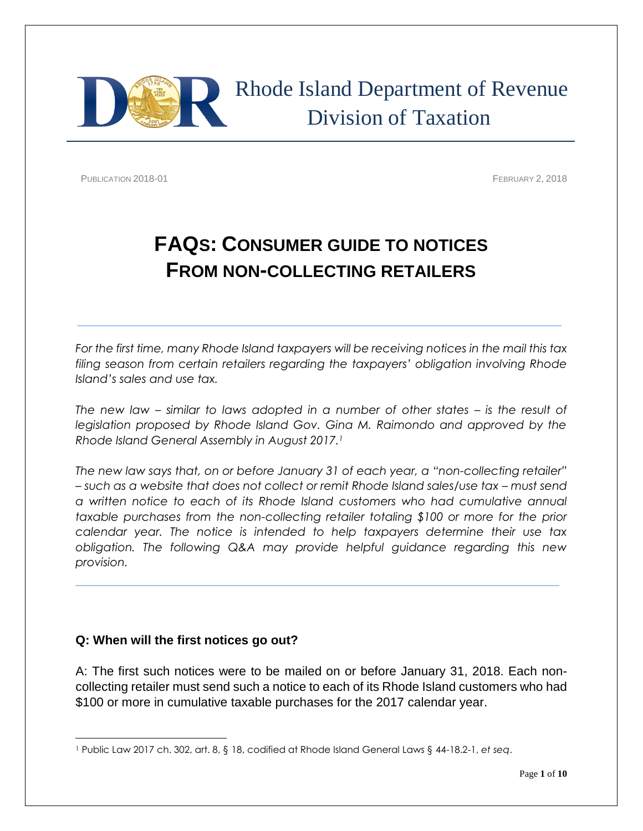

PUBLICATION 2018-01 **FEBRUARY 2, 2018** 

# **FAQS: CONSUMER GUIDE TO NOTICES FROM NON-COLLECTING RETAILERS**

*For the first time, many Rhode Island taxpayers will be receiving notices in the mail this tax filing season from certain retailers regarding the taxpayers' obligation involving Rhode Island's sales and use tax.*

*The new law – similar to laws adopted in a number of other states – is the result of*  legislation proposed by Rhode Island Gov. Gina M. Raimondo and approved by the *Rhode Island General Assembly in August 2017.<sup>1</sup>*

*The new law says that, on or before January 31 of each year, a "non-collecting retailer"*   $-$  such as a website that does not collect or remit Rhode Island sales/use tax – must send *a written notice to each of its Rhode Island customers who had cumulative annual taxable purchases from the non-collecting retailer totaling \$100 or more for the prior calendar year. The notice is intended to help taxpayers determine their use tax obligation. The following Q&A may provide helpful guidance regarding this new provision.*

## **Q: When will the first notices go out?**

A: The first such notices were to be mailed on or before January 31, 2018. Each noncollecting retailer must send such a notice to each of its Rhode Island customers who had \$100 or more in cumulative taxable purchases for the 2017 calendar year.

 $\overline{\phantom{a}}$ <sup>1</sup> Public Law 2017 ch. 302, art. 8, § 18, codified at Rhode Island General Laws § 44-18.2-1, *et seq*.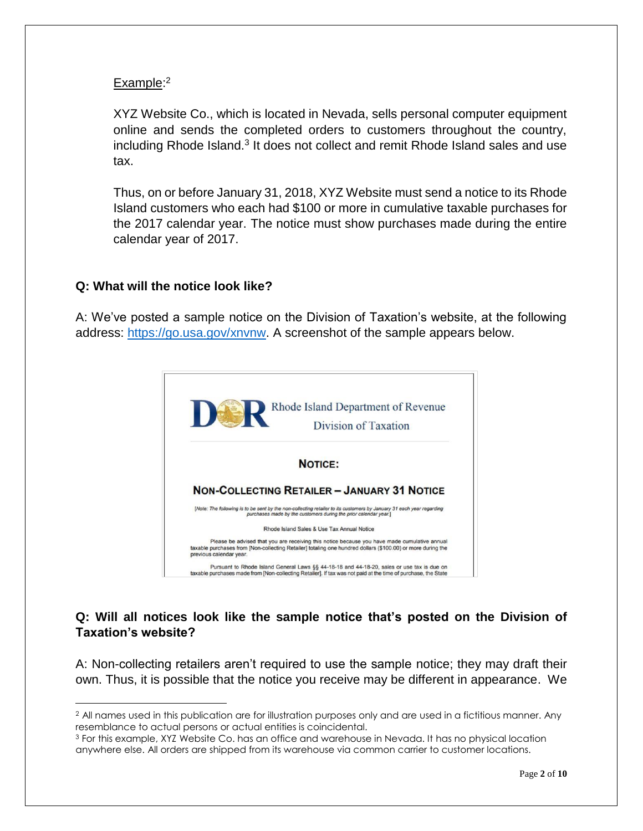## Example:<sup>2</sup>

XYZ Website Co., which is located in Nevada, sells personal computer equipment online and sends the completed orders to customers throughout the country, including Rhode Island.<sup>3</sup> It does not collect and remit Rhode Island sales and use tax.

Thus, on or before January 31, 2018, XYZ Website must send a notice to its Rhode Island customers who each had \$100 or more in cumulative taxable purchases for the 2017 calendar year. The notice must show purchases made during the entire calendar year of 2017.

## **Q: What will the notice look like?**

 $\overline{\phantom{a}}$ 

A: We've posted a sample notice on the Division of Taxation's website, at the following address: [https://go.usa.gov/xnvnw.](https://go.usa.gov/xnvnw) A screenshot of the sample appears below.



## **Q: Will all notices look like the sample notice that's posted on the Division of Taxation's website?**

A: Non-collecting retailers aren't required to use the sample notice; they may draft their own. Thus, it is possible that the notice you receive may be different in appearance. We

<sup>&</sup>lt;sup>2</sup> All names used in this publication are for illustration purposes only and are used in a fictitious manner. Any resemblance to actual persons or actual entities is coincidental.

<sup>3</sup> For this example, XYZ Website Co. has an office and warehouse in Nevada. It has no physical location anywhere else. All orders are shipped from its warehouse via common carrier to customer locations.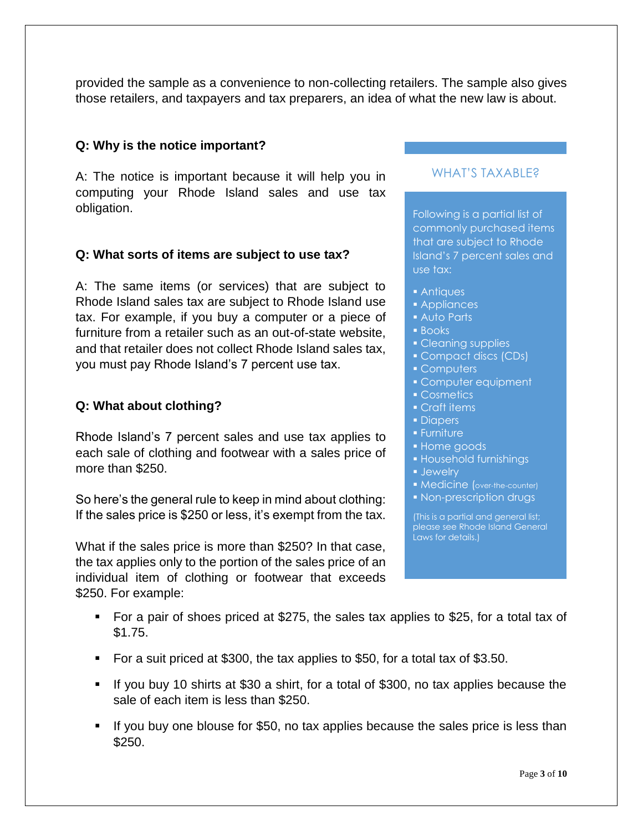provided the sample as a convenience to non-collecting retailers. The sample also gives those retailers, and taxpayers and tax preparers, an idea of what the new law is about.

## **Q: Why is the notice important?**

A: The notice is important because it will help you in computing your Rhode Island sales and use tax obligation.

## **Q: What sorts of items are subject to use tax?**

A: The same items (or services) that are subject to Rhode Island sales tax are subject to Rhode Island use tax. For example, if you buy a computer or a piece of furniture from a retailer such as an out-of-state website, and that retailer does not collect Rhode Island sales tax, you must pay Rhode Island's 7 percent use tax.

#### **Q: What about clothing?**

Rhode Island's 7 percent sales and use tax applies to each sale of clothing and footwear with a sales price of more than \$250.

So here's the general rule to keep in mind about clothing: If the sales price is \$250 or less, it's exempt from the tax.

What if the sales price is more than \$250? In that case, the tax applies only to the portion of the sales price of an individual item of clothing or footwear that exceeds \$250. For example:

#### WHAT'S TAXABLE?

Following is a partial list of commonly purchased items that are subject to Rhode Island's 7 percent sales and use tax:

- **Antiques**
- **Appliances**
- Auto Parts
- **Books**
- Cleaning supplies
- Compact discs (CDs)
- Computers
- Computer equipment
- Cosmetics
- Craft items
- Diapers
- Furniture
- **Home goods**
- Household furnishings
- **Jewelry**
- **Medicine** (over-the-counter)
- **Non-prescription drugs**

(This is a partial and general list; please see Rhode Island General Laws for details.)

- For a pair of shoes priced at \$275, the sales tax applies to \$25, for a total tax of \$1.75.
- For a suit priced at \$300, the tax applies to \$50, for a total tax of \$3.50.
- If you buy 10 shirts at \$30 a shirt, for a total of \$300, no tax applies because the sale of each item is less than \$250.
- If you buy one blouse for \$50, no tax applies because the sales price is less than  $$250.$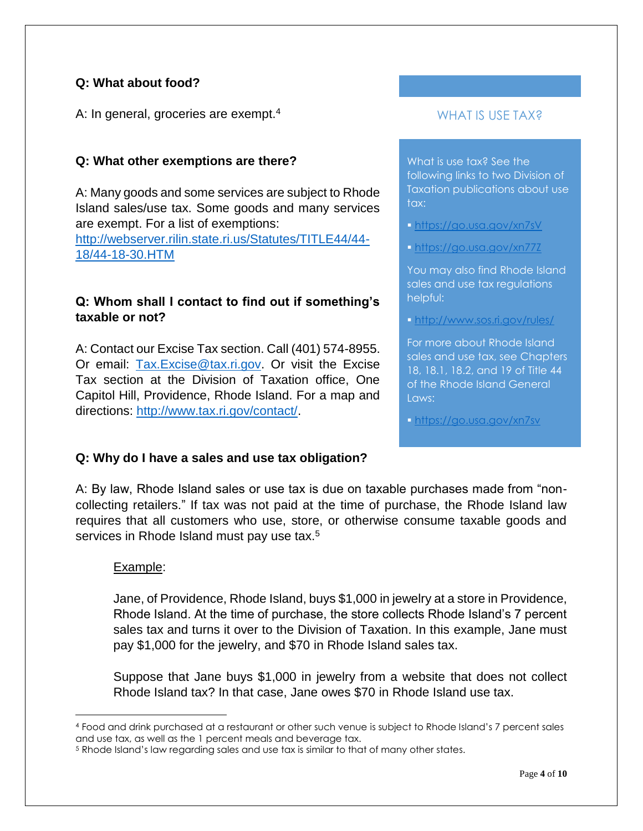# **Q: What about food?**

A: In general, groceries are exempt.<sup>4</sup>

## **Q: What other exemptions are there?**

A: Many goods and some services are subject to Rhode Island sales/use tax. Some goods and many services are exempt. For a list of exemptions: [http://webserver.rilin.state.ri.us/Statutes/TITLE44/44-](http://webserver.rilin.state.ri.us/Statutes/TITLE44/44-18/44-18-30.HTM) [18/44-18-30.HTM](http://webserver.rilin.state.ri.us/Statutes/TITLE44/44-18/44-18-30.HTM)

# **Q: Whom shall I contact to find out if something's taxable or not?**

A: Contact our Excise Tax section. Call (401) 574-8955. Or email: [Tax.Excise@tax.ri.gov.](mailto:Tax.Excise@tax.ri.gov) Or visit the Excise Tax section at the Division of Taxation office, One Capitol Hill, Providence, Rhode Island. For a map and directions: [http://www.tax.ri.gov/contact/.](http://www.tax.ri.gov/contact/)

## WHAT IS USE TAX?

What is use tax? See the following links to two Division of Taxation publications about use tax:

- <https://go.usa.gov/xn7sV>
- <https://go.usa.gov/xn77Z>

You may also find Rhode Island sales and use tax regulations helpful:

<http://www.sos.ri.gov/rules/>

For more about Rhode Island sales and use tax, see Chapters 18, 18.1, 18.2, and 19 of Title 44 of the Rhode Island General Laws:

<https://go.usa.gov/xn7sv>

## **Q: Why do I have a sales and use tax obligation?**

A: By law, Rhode Island sales or use tax is due on taxable purchases made from "noncollecting retailers." If tax was not paid at the time of purchase, the Rhode Island law requires that all customers who use, store, or otherwise consume taxable goods and services in Rhode Island must pay use tax.<sup>5</sup>

## Example:

 $\overline{\phantom{a}}$ 

Jane, of Providence, Rhode Island, buys \$1,000 in jewelry at a store in Providence, Rhode Island. At the time of purchase, the store collects Rhode Island's 7 percent sales tax and turns it over to the Division of Taxation. In this example, Jane must pay \$1,000 for the jewelry, and \$70 in Rhode Island sales tax.

Suppose that Jane buys \$1,000 in jewelry from a website that does not collect Rhode Island tax? In that case, Jane owes \$70 in Rhode Island use tax.

<sup>4</sup> Food and drink purchased at a restaurant or other such venue is subject to Rhode Island's 7 percent sales and use tax, as well as the 1 percent meals and beverage tax.

<sup>&</sup>lt;sup>5</sup> Rhode Island's law regarding sales and use tax is similar to that of many other states.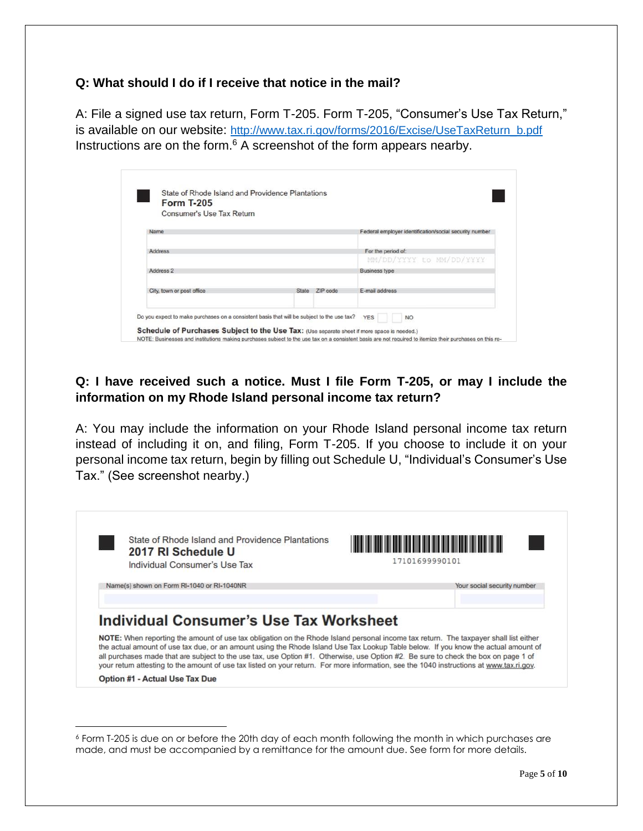#### **Q: What should I do if I receive that notice in the mail?**

A: File a signed use tax return, Form T-205. Form T-205, "Consumer's Use Tax Return," is available on our website: [http://www.tax.ri.gov/forms/2016/Excise/UseTaxReturn\\_b.pdf](http://www.tax.ri.gov/forms/2016/Excise/UseTaxReturn_b.pdf) Instructions are on the form.<sup>6</sup> A screenshot of the form appears nearby.

| Consumer's Use Tax Return |       |          |                                                        |
|---------------------------|-------|----------|--------------------------------------------------------|
| Name                      |       |          | Federal employer identification/social security number |
| Address                   |       |          | For the period of:                                     |
|                           |       |          | MM/DD/YYYY to MM/DD/YYYY                               |
| Address <sub>2</sub>      |       |          | <b>Business type</b>                                   |
| City, town or post office | State | 7IP code | F-mail address                                         |

# **Q: I have received such a notice. Must I file Form T-205, or may I include the information on my Rhode Island personal income tax return?**

A: You may include the information on your Rhode Island personal income tax return instead of including it on, and filing, Form T-205. If you choose to include it on your personal income tax return, begin by filling out Schedule U, "Individual's Consumer's Use Tax." (See screenshot nearby.)



<sup>6</sup> Form T-205 is due on or before the 20th day of each month following the month in which purchases are made, and must be accompanied by a remittance for the amount due. See form for more details.

l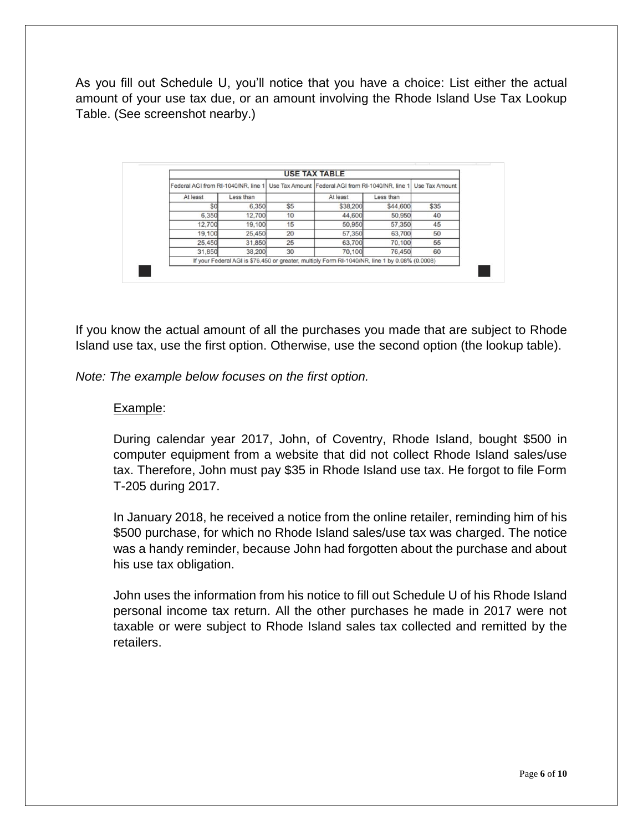As you fill out Schedule U, you'll notice that you have a choice: List either the actual amount of your use tax due, or an amount involving the Rhode Island Use Tax Lookup Table. (See screenshot nearby.)

| Use Tax Amount |           | Use Tax Amount Federal AGI from RI-1040/NR, line 1                                             |     | Federal AGI from RI-1040/NR, line 1 |          |
|----------------|-----------|------------------------------------------------------------------------------------------------|-----|-------------------------------------|----------|
|                | Less than | At least                                                                                       |     | Less than                           | At least |
| \$35           | \$44,600  | \$38,200                                                                                       | \$5 | 6,350                               | \$0      |
| 40             | 50,950    | 44,600                                                                                         | 10  | 12,700                              | 6,350    |
| 45             | 57,350    | 50,950                                                                                         | 15  | 19,100                              | 12,700   |
| 50             | 63,700    | 57,350                                                                                         | 20  | 25,450                              | 19,100   |
| 55             | 70,100    | 63,700                                                                                         | 25  | 31,850                              | 25,450   |
| 60             | 76,450    | 70,100                                                                                         | 30  | 38,200                              | 31,850   |
|                |           | If your Federal AGI is \$76,450 or greater, multiply Form RI-1040/NR, line 1 by 0.08% (0.0008) |     |                                     |          |

If you know the actual amount of all the purchases you made that are subject to Rhode Island use tax, use the first option. Otherwise, use the second option (the lookup table).

*Note: The example below focuses on the first option.*

#### Example:

During calendar year 2017, John, of Coventry, Rhode Island, bought \$500 in computer equipment from a website that did not collect Rhode Island sales/use tax. Therefore, John must pay \$35 in Rhode Island use tax. He forgot to file Form T-205 during 2017.

In January 2018, he received a notice from the online retailer, reminding him of his \$500 purchase, for which no Rhode Island sales/use tax was charged. The notice was a handy reminder, because John had forgotten about the purchase and about his use tax obligation.

John uses the information from his notice to fill out Schedule U of his Rhode Island personal income tax return. All the other purchases he made in 2017 were not taxable or were subject to Rhode Island sales tax collected and remitted by the retailers.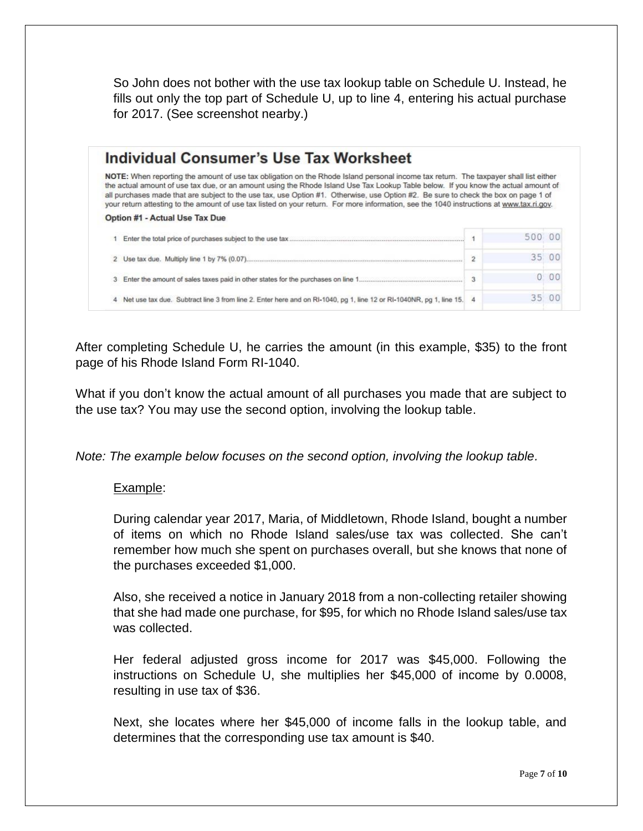So John does not bother with the use tax lookup table on Schedule U. Instead, he fills out only the top part of Schedule U, up to line 4, entering his actual purchase for 2017. (See screenshot nearby.)

| Individual Consumer's Use Tax Worksheet                                                                                                                                                                                                                                                                                                                                                                                                                                                                                                                      |                |     |    |
|--------------------------------------------------------------------------------------------------------------------------------------------------------------------------------------------------------------------------------------------------------------------------------------------------------------------------------------------------------------------------------------------------------------------------------------------------------------------------------------------------------------------------------------------------------------|----------------|-----|----|
| NOTE: When reporting the amount of use tax obligation on the Rhode Island personal income tax return. The taxpayer shall list either<br>the actual amount of use tax due, or an amount using the Rhode Island Use Tax Lookup Table below. If you know the actual amount of<br>all purchases made that are subject to the use tax, use Option #1. Otherwise, use Option #2. Be sure to check the box on page 1 of<br>your return attesting to the amount of use tax listed on your return. For more information, see the 1040 instructions at www.tax.ri.gov. |                |     |    |
| Option #1 - Actual Use Tax Due                                                                                                                                                                                                                                                                                                                                                                                                                                                                                                                               |                |     |    |
|                                                                                                                                                                                                                                                                                                                                                                                                                                                                                                                                                              |                | 500 |    |
|                                                                                                                                                                                                                                                                                                                                                                                                                                                                                                                                                              | $\overline{2}$ | スラ  |    |
|                                                                                                                                                                                                                                                                                                                                                                                                                                                                                                                                                              |                |     |    |
| Enter the amount of sales taxes paid in other states for the purchases on line 1<br>3                                                                                                                                                                                                                                                                                                                                                                                                                                                                        | 3              |     | 00 |

After completing Schedule U, he carries the amount (in this example, \$35) to the front page of his Rhode Island Form RI-1040.

What if you don't know the actual amount of all purchases you made that are subject to the use tax? You may use the second option, involving the lookup table.

*Note: The example below focuses on the second option, involving the lookup table.*

## Example:

During calendar year 2017, Maria, of Middletown, Rhode Island, bought a number of items on which no Rhode Island sales/use tax was collected. She can't remember how much she spent on purchases overall, but she knows that none of the purchases exceeded \$1,000.

Also, she received a notice in January 2018 from a non-collecting retailer showing that she had made one purchase, for \$95, for which no Rhode Island sales/use tax was collected.

Her federal adjusted gross income for 2017 was \$45,000. Following the instructions on Schedule U, she multiplies her \$45,000 of income by 0.0008, resulting in use tax of \$36.

Next, she locates where her \$45,000 of income falls in the lookup table, and determines that the corresponding use tax amount is \$40.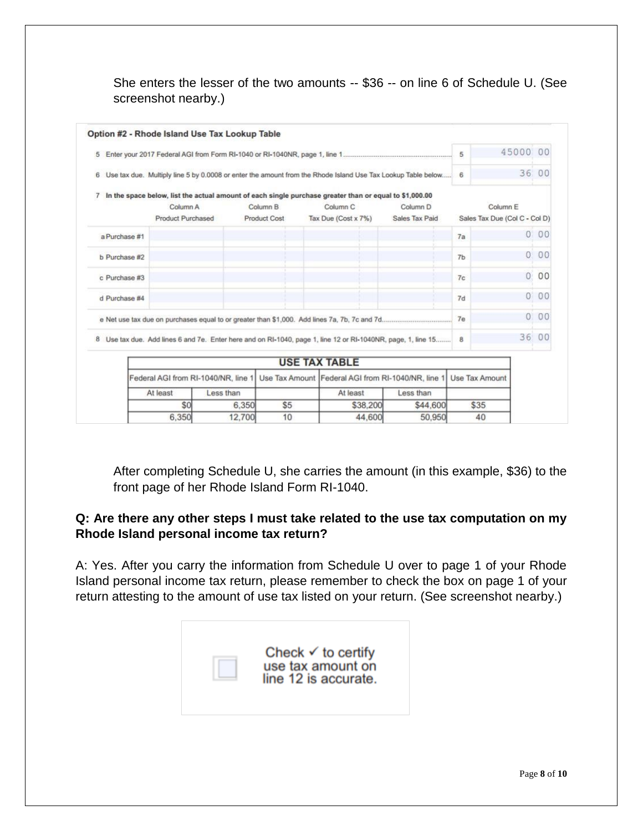She enters the lesser of the two amounts -- \$36 -- on line 6 of Schedule U. (See screenshot nearby.)

|               | Option #2 - Rhode Island Use Tax Lookup Table |           |                     |                                                                                                                               |                     |                       |                               |     |
|---------------|-----------------------------------------------|-----------|---------------------|-------------------------------------------------------------------------------------------------------------------------------|---------------------|-----------------------|-------------------------------|-----|
| 5             |                                               |           |                     |                                                                                                                               |                     | 5                     | 45000                         | 00  |
|               |                                               |           |                     | 6 Use tax due. Multiply line 5 by 0.0008 or enter the amount from the Rhode Island Use Tax Lookup Table below                 |                     | 6                     | 36 00                         |     |
| 7             | Column A                                      |           | Column <sub>B</sub> | In the space below, list the actual amount of each single purchase greater than or equal to \$1,000.00<br>Column <sub>C</sub> | Column <sub>D</sub> |                       | Column E                      |     |
|               | <b>Product Purchased</b>                      |           | <b>Product Cost</b> | Tax Due (Cost x 7%)                                                                                                           | Sales Tax Paid      |                       | Sales Tax Due (Col C - Col D) |     |
| a Purchase #1 |                                               |           |                     |                                                                                                                               |                     | 7a                    |                               | 000 |
| b Purchase #2 |                                               |           |                     |                                                                                                                               |                     | 7 <sub>b</sub>        | 0                             | 00  |
| c Purchase #3 |                                               |           |                     |                                                                                                                               |                     | 7c                    | $\mathbf{O}$                  | 00  |
| d Purchase #4 |                                               |           |                     |                                                                                                                               |                     | 7d                    | 0                             | 00  |
|               |                                               |           |                     |                                                                                                                               |                     | 7e                    | 0                             | 00  |
|               |                                               |           |                     | 8 Use tax due. Add lines 6 and 7e. Enter here and on RI-1040, page 1, line 12 or RI-1040NR, page, 1, line 15                  |                     | 8                     | 36 00                         |     |
|               |                                               |           |                     | <b>USE TAX TABLE</b>                                                                                                          |                     |                       |                               |     |
|               | Federal AGI from RI-1040/NR, line 1           |           |                     | Use Tax Amount Federal AGI from RI-1040/NR, line 1                                                                            |                     | <b>Use Tax Amount</b> |                               |     |
|               | At least                                      | Less than |                     | At least                                                                                                                      | Less than           |                       |                               |     |
|               | \$0                                           | 6,350     | \$5                 | \$38,200                                                                                                                      | \$44,600            | \$35                  |                               |     |
|               | 6.350<br>12.700<br>44,600<br>10               |           | 50.950              | 40                                                                                                                            |                     |                       |                               |     |

After completing Schedule U, she carries the amount (in this example, \$36) to the front page of her Rhode Island Form RI-1040.

# **Q: Are there any other steps I must take related to the use tax computation on my Rhode Island personal income tax return?**

A: Yes. After you carry the information from Schedule U over to page 1 of your Rhode Island personal income tax return, please remember to check the box on page 1 of your return attesting to the amount of use tax listed on your return. (See screenshot nearby.)

| Check $\checkmark$ to certify<br>use tax amount on<br>line 12 is accurate. |
|----------------------------------------------------------------------------|
|                                                                            |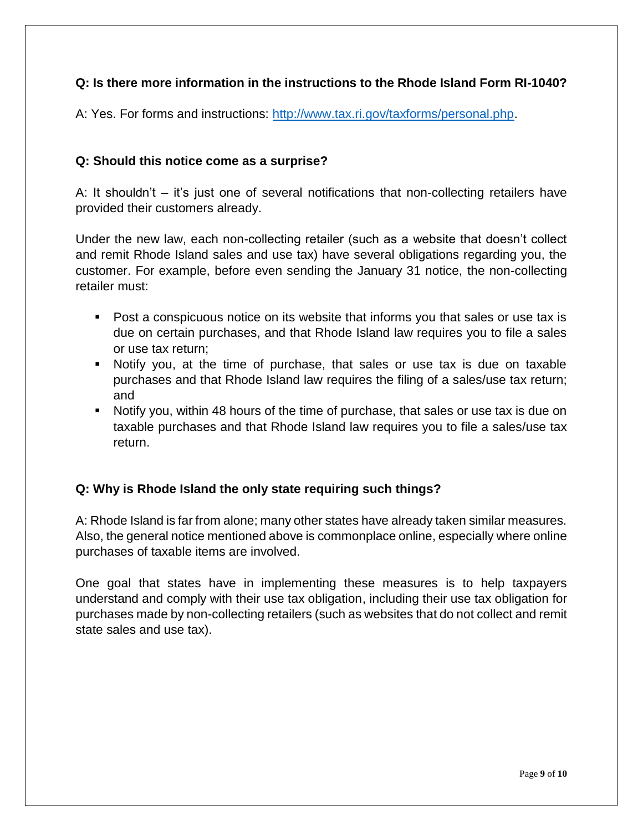## **Q: Is there more information in the instructions to the Rhode Island Form RI-1040?**

A: Yes. For forms and instructions: [http://www.tax.ri.gov/taxforms/personal.php.](http://www.tax.ri.gov/taxforms/personal.php)

#### **Q: Should this notice come as a surprise?**

A: It shouldn't – it's just one of several notifications that non-collecting retailers have provided their customers already.

Under the new law, each non-collecting retailer (such as a website that doesn't collect and remit Rhode Island sales and use tax) have several obligations regarding you, the customer. For example, before even sending the January 31 notice, the non-collecting retailer must:

- Post a conspicuous notice on its website that informs you that sales or use tax is due on certain purchases, and that Rhode Island law requires you to file a sales or use tax return;
- Notify you, at the time of purchase, that sales or use tax is due on taxable purchases and that Rhode Island law requires the filing of a sales/use tax return; and
- Notify you, within 48 hours of the time of purchase, that sales or use tax is due on taxable purchases and that Rhode Island law requires you to file a sales/use tax return.

## **Q: Why is Rhode Island the only state requiring such things?**

A: Rhode Island is far from alone; many other states have already taken similar measures. Also, the general notice mentioned above is commonplace online, especially where online purchases of taxable items are involved.

One goal that states have in implementing these measures is to help taxpayers understand and comply with their use tax obligation, including their use tax obligation for purchases made by non-collecting retailers (such as websites that do not collect and remit state sales and use tax).